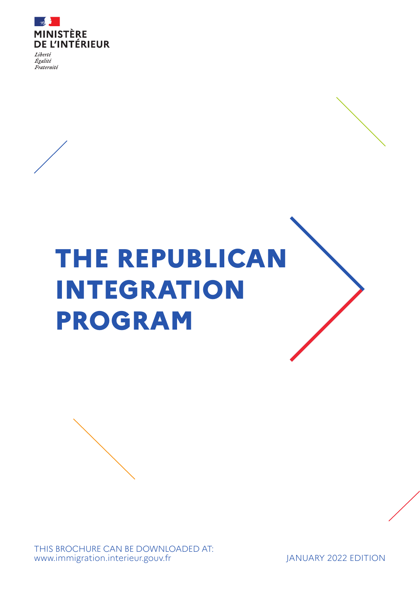

Egalité Fraternité

# **THE REPUBLICAN INTEGRATION PROGRAM**

THIS BROCHURE CAN BE DOWNLOADED AT: [www.immigration.interieur.gouv.fr](https://www.immigration.interieur.gouv.fr/) JANUARY 2022 EDITION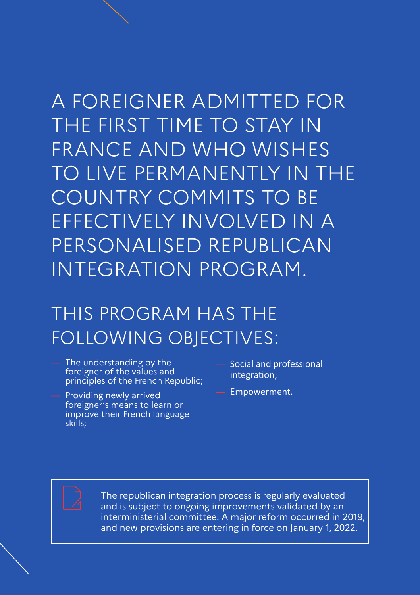# A FOREIGNER ADMITTED FOR THE FIRST TIME TO STAY IN FRANCE AND WHO WISHES TO LIVE PERMANENTLY IN THE COUNTRY COMMITS TO BE EFFECTIVELY INVOLVED IN A PERSONALISED REPUBLICAN INTEGRATION PROGRAM.

### THIS PROGRAM HAS THE FOLLOWING OBJECTIVES:

- The understanding by the foreigner of the values and principles of the French Republic;
- Providing newly arrived foreigner's means to learn or improve their French language skills;
- Social and professional integration;
- Empowerment.

The republican integration process is regularly evaluated and is subject to ongoing improvements validated by an interministerial committee. A major reform occurred in 2019, and new provisions are entering in force on January 1, 2022.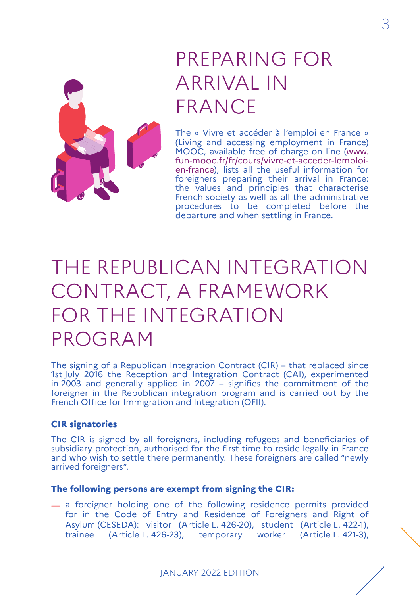

### PREPARING FOR ARRIVAL IN FRANCE

The « Vivre et accéder à l'emploi en France » (Living and accessing employment in France) MOOC, available free of charge on line (www. fun-mooc.fr/fr/cours/vivre-et-acceder-lemploien-france), lists all the useful information for foreigners preparing their arrival in France: the values and principles that characterise French society as well as all the administrative procedures to be completed before the departure and when settling in France.

# THE REPUBLICAN INTEGRATION CONTRACT, A FRAMEWORK FOR THE INTEGRATION PROGRAM

The signing of a Republican Integration Contract (CIR) – that replaced since 1st July 2016 the Reception and Integration Contract (CAI), experimented in 2003 and generally applied in 2007 – signifies the commitment of the foreigner in the Republican integration program and is carried out by the French Office for Immigration and Integration (OFII).

#### **CIR signatories**

The CIR is signed by all foreigners, including refugees and beneficiaries of subsidiary protection, authorised for the first time to reside legally in France and who wish to settle there permanently. These foreigners are called "newly arrived foreigners".

#### **The following persons are exempt from signing the CIR:**

 $-$  a foreigner holding one of the following residence permits provided for in the Code of Entry and Residence of Foreigners and Right of Asylum (CESEDA): visitor (Article L. 426-20), student (Article L. 422-1), trainee (Article L. 426-23), temporary worker (Article L. 421-3), 3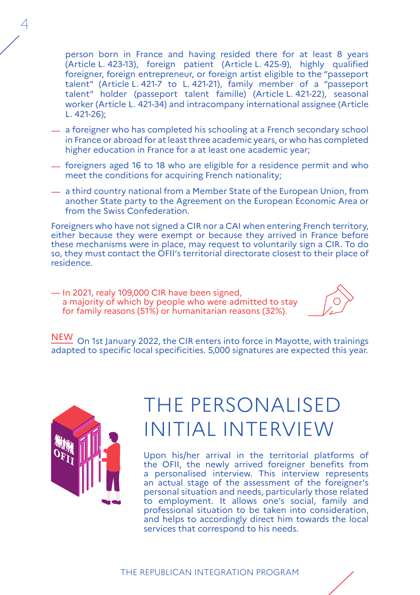person born in France and having resided there for at least 8 years (Article L. 423-13), foreign patient (Article L. 425-9), highly qualified foreigner, foreign entrepreneur, or foreign artist eligible to the "passeport talent" (Article L. 421-7 to L. 421-21), family member of a "passeport talent" holder (passeport talent famille) (Article L. 421-22), seasonal worker (Article L. 421-34) and intracompany international assignee (Article L. 421-26);

- $-$  a foreigner who has completed his schooling at a French secondary school in France or abroad for at least three academic years, or who has completed higher education in France for a at least one academic year;
- $-$  foreigners aged 16 to 18 who are eligible for a residence permit and who meet the conditions for acquiring French nationality;
- $\overline{\phantom{a}}$  a third country national from a Member State of the European Union, from another State party to the Agreement on the European Economic Area or from the Swiss Confederation.

Foreigners who have not signed a CIR nor a CAI when entering French territory, either because they were exempt or because they arrived in France before these mechanisms were in place, may request to voluntarily sign a CIR. To do so, they must contact the OFII's territorial directorate closest to their place of residence.

— In 2021, realy 109,000 CIR have been signed, a majority of which by people who were admitted to stay for family reasons (51%) or humanitarian reasons (32%).



NEW On 1st Ianuary 2022, the CIR enters into force in Mayotte, with trainings adapted to specific local specificities. 5,000 signatures are expected this year.



 $\varDelta$ 

### THE PERSONALISED INITIAL INTERVIEW

Upon his/her arrival in the territorial platforms of the OFII, the newly arrived foreigner benefits from a personalised interview. This interview represents an actual stage of the assessment of the foreigner's personal situation and needs, particularly those related to employment. It allows one's social, family and professional situation to be taken into consideration, and helps to accordingly direct him towards the local services that correspond to his needs.

THE REPUBLICAN INTEGRATION PROGRAM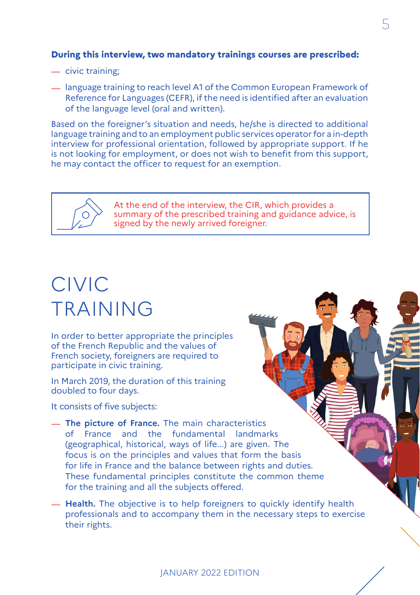#### **During this interview, two mandatory trainings courses are prescribed:**

- civic training:
- $\equiv$  language training to reach level A1 of the Common European Framework of Reference for Languages (CEFR), if the need is identified after an evaluation of the language level (oral and written).

Based on the foreigner's situation and needs, he/she is directed to additional language training and to an employment public services operator for a in-depth interview for professional orientation, followed by appropriate support. If he is not looking for employment, or does not wish to benefit from this support, he may contact the officer to request for an exemption.



At the end of the interview, the CIR, which provides a summary of the prescribed training and guidance advice, is signed by the newly arrived foreigner.

### CIVIC TRAINING

In order to better appropriate the principles of the French Republic and the values of French society, foreigners are required to participate in civic training.

In March 2019, the duration of this training doubled to four days.

It consists of five subjects:

- $-$  The picture of France. The main characteristics of France and the fundamental landmarks (geographical, historical, ways of life...) are given. The focus is on the principles and values that form the basis for life in France and the balance between rights and duties. These fundamental principles constitute the common theme for the training and all the subjects offered.
- $-$  **Health.** The objective is to help foreigners to quickly identify health professionals and to accompany them in the necessary steps to exercise their rights.

#### JANUARY 2022 EDITION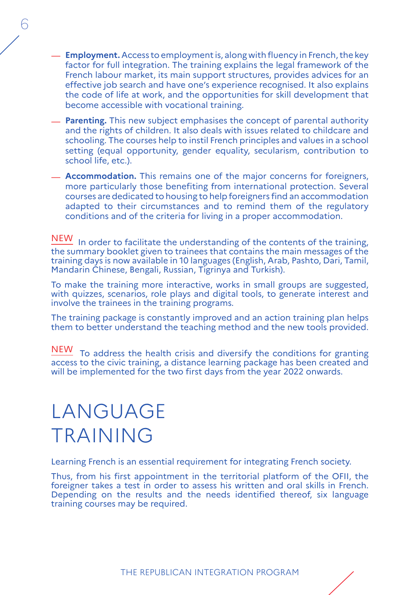- $\equiv$  **Employment.** Access to employment is, along with fluency in French, the key factor for full integration. The training explains the legal framework of the French labour market, its main support structures, provides advices for an effective job search and have one's experience recognised. It also explains the code of life at work, and the opportunities for skill development that become accessible with vocational training.
- $-$  **Parenting.** This new subject emphasises the concept of parental authority and the rights of children. It also deals with issues related to childcare and schooling. The courses help to instil French principles and values in a school setting (equal opportunity, gender equality, secularism, contribution to school life, etc.).
- $-$  **Accommodation.** This remains one of the major concerns for foreigners, more particularly those benefiting from international protection. Several courses are dedicated to housing to help foreigners find an accommodation adapted to their circumstances and to remind them of the regulatory conditions and of the criteria for living in a proper accommodation.

NEW In order to facilitate the understanding of the contents of the training, the summary booklet given to trainees that contains the main messages of the training days is now available in 10 languages (English, Arab, Pashto, Dari, Tamil, Mandarin Chinese, Bengali, Russian, Tigrinya and Turkish).

To make the training more interactive, works in small groups are suggested, with quizzes, scenarios, role plays and digital tools, to generate interest and involve the trainees in the training programs.

The training package is constantly improved and an action training plan helps them to better understand the teaching method and the new tools provided.

NEW To address the health crisis and diversify the conditions for granting access to the civic training, a distance learning package has been created and will be implemented for the two first days from the year 2022 onwards.

### LANGUAGE TRAINING

Learning French is an essential requirement for integrating French society.

Thus, from his first appointment in the territorial platform of the OFII, the foreigner takes a test in order to assess his written and oral skills in French. Depending on the results and the needs identified thereof, six language training courses may be required.

THE REPUBLICAN INTEGRATION PROGRAM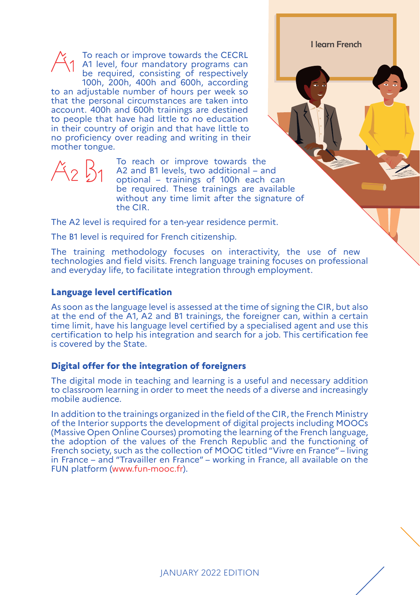To reach or improve towards the CECRL A1 level, four mandatory programs can be required, consisting of respectively 100h, 200h, 400h and 600h, according to an adjustable number of hours per week so that the personal circumstances are taken into account. 400h and 600h trainings are destined to people that have had little to no education in their country of origin and that have little to no proficiency over reading and writing in their mother tongue.

To reach or improve towards the A2 and B1 levels, two additional – and optional – trainings of 100h each can be required. These trainings are available without any time limit after the signature of the CIR.

I learn French

The A2 level is required for a ten-year residence permit.

The B1 level is required for French citizenship.

The training methodology focuses on interactivity, the use of new technologies and field visits. French language training focuses on professional and everyday life, to facilitate integration through employment.

#### **Language level certification**

As soon as the language level is assessed at the time of signing the CIR, but also at the end of the A1, A2 and B1 trainings, the foreigner can, within a certain time limit, have his language level certified by a specialised agent and use this certification to help his integration and search for a job. This certification fee is covered by the State.

#### **Digital offer for the integration of foreigners**

The digital mode in teaching and learning is a useful and necessary addition to classroom learning in order to meet the needs of a diverse and increasingly mobile audience.

In addition to the trainings organized in the field of the CIR, the French Ministry of the Interior supports the development of digital projects including MOOCs (Massive Open Online Courses) promoting the learning of the French language, the adoption of the values of the French Republic and the functioning of French society, such as the collection of MOOC titled "Vivre en France" – living in France – and "Travailler en France" – working in France, all available on the FUN platform (www.fun-mooc.fr).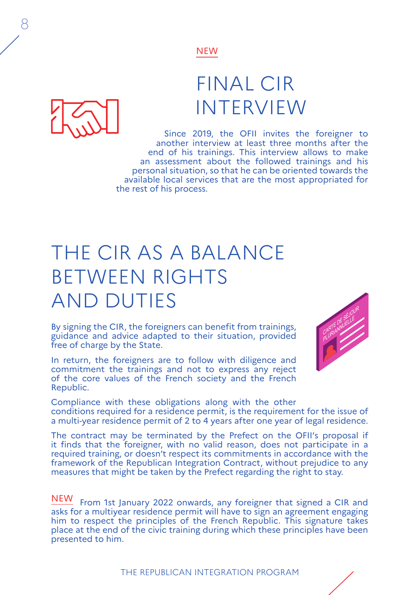### FINAL CIR INTERVIEW

Since 2019, the OFII invites the foreigner to another interview at least three months after the end of his trainings. This interview allows to make an assessment about the followed trainings and his personal situation, so that he can be oriented towards the available local services that are the most appropriated for the rest of his process.

# THE CIR AS A BALANCE BETWEEN RIGHTS AND DUTIES

By signing the CIR, the foreigners can benefit from trainings, guidance and advice adapted to their situation, provided free of charge by the State.

In return, the foreigners are to follow with diligence and commitment the trainings and not to express any reject of the core values of the French society and the French Republic.



Compliance with these obligations along with the other conditions required for a residence permit, is the requirement for the issue of a multi-year residence permit of 2 to 4 years after one year of legal residence.

The contract may be terminated by the Prefect on the OFII's proposal if it finds that the foreigner, with no valid reason, does not participate in a required training, or doesn't respect its commitments in accordance with the framework of the Republican Integration Contract, without prejudice to any measures that might be taken by the Prefect regarding the right to stay.

NEW From 1st January 2022 onwards, any foreigner that signed a CIR and asks for a multiyear residence permit will have to sign an agreement engaging him to respect the principles of the French Republic. This signature takes place at the end of the civic training during which these principles have been presented to him.

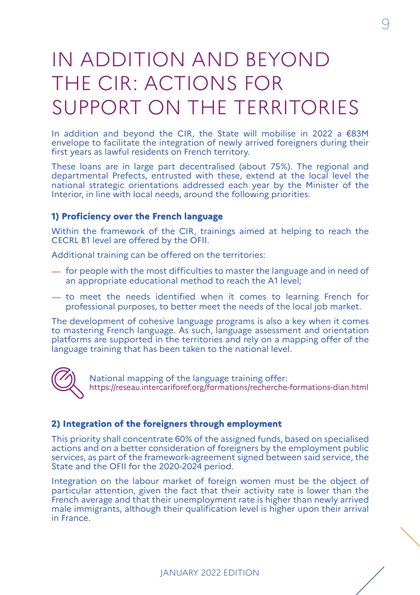# IN ADDITION AND BEYOND THE CIR: ACTIONS FOR SUPPORT ON THE TERRITORIES

In addition and beyond the CIR, the State will mobilise in 2022 a €83M envelope to facilitate the integration of newly arrived foreigners during their first years as lawful residents on French territory.

These loans are in large part decentralised (about 75%). The regional and departmental Prefects, entrusted with these, extend at the local level the national strategic orientations addressed each year by the Minister of the Interior, in line with local needs, around the following priorities.

#### **1) Proficiency over the French language**

Within the framework of the CIR, trainings aimed at helping to reach the CECRL B1 level are offered by the OFII.

Additional training can be offered on the territories:

- $\overline{\phantom{a}}$  for people with the most difficulties to master the language and in need of an appropriate educational method to reach the A1 level;
- $-$  to meet the needs identified when it comes to learning French for professional purposes, to better meet the needs of the local job market.

The development of cohesive language programs is also a key when it comes to mastering French language. As such, language assessment and orientation platforms are supported in the territories and rely on a mapping offer of the language training that has been taken to the national level.



National mapping of the language training offer: [https://reseau.intercariforef.org/formations/recherche-formations-dian.html](https://reseau.intercariforef.org/formations/recherche-formations-dian.html )

#### **2) Integration of the foreigners through employment**

This priority shall concentrate 60% of the assigned funds, based on specialised actions and on a better consideration of foreigners by the employment public services, as part of the framework-agreement signed between said service, the State and the OFII for the 2020-2024 period.

Integration on the labour market of foreign women must be the object of particular attention, given the fact that their activity rate is lower than the French average and that their unemployment rate is higher than newly arrived male immigrants, although their qualification level is higher upon their arrival in France.

JANUARY 2022 EDITION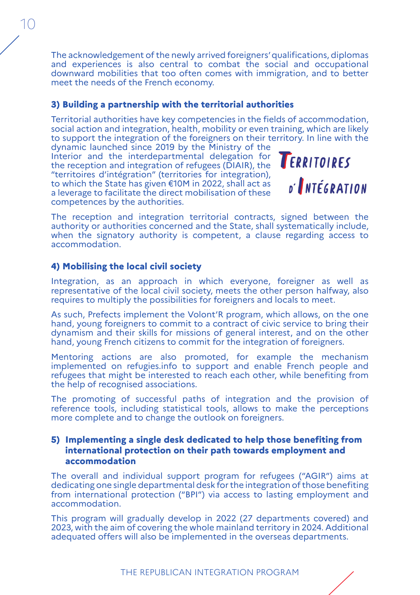The acknowledgement of the newly arrived foreigners' qualifications, diplomas and experiences is also central to combat the social and occupational downward mobilities that too often comes with immigration, and to better meet the needs of the French economy.

#### **3) Building a partnership with the territorial authorities**

Territorial authorities have key competencies in the fields of accommodation, social action and integration, health, mobility or even training, which are likely to support the integration of the foreigners on their territory. In line with the dynamic launched since 2019 by the Ministry of the

Interior and the interdepartmental delegation for the reception and integration of refugees (DIAIR), the "territoires d'intégration" (territories for integration), to which the State has given €10M in 2022, shall act as a leverage to facilitate the direct mobilisation of these competences by the authorities.



The reception and integration territorial contracts, signed between the authority or authorities concerned and the State, shall systematically include, when the signatory authority is competent, a clause regarding access to accommodation.

#### **4) Mobilising the local civil society**

Integration, as an approach in which everyone, foreigner as well as representative of the local civil society, meets the other person halfway, also requires to multiply the possibilities for foreigners and locals to meet.

As such, Prefects implement the Volont'R program, which allows, on the one hand, young foreigners to commit to a contract of civic service to bring their dynamism and their skills for missions of general interest, and on the other hand, young French citizens to commit for the integration of foreigners.

Mentoring actions are also promoted, for example the mechanism implemented on refugies.info to support and enable French people and refugees that might be interested to reach each other, while benefiting from the help of recognised associations.

The promoting of successful paths of integration and the provision of reference tools, including statistical tools, allows to make the perceptions more complete and to change the outlook on foreigners.

#### **5) Implementing a single desk dedicated to help those benefiting from international protection on their path towards employment and accommodation**

The overall and individual support program for refugees ("AGIR") aims at dedicating one single departmental desk for the integration of those benefiting from international protection ("BPI") via access to lasting employment and accommodation.

This program will gradually develop in 2022 (27 departments covered) and 2023, with the aim of covering the whole mainland territory in 2024. Additional adequated offers will also be implemented in the overseas departments.

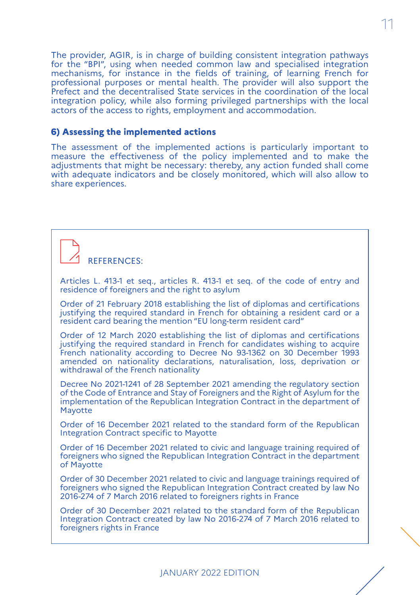The provider, AGIR, is in charge of building consistent integration pathways for the "BPI", using when needed common law and specialised integration mechanisms, for instance in the fields of training, of learning French for professional purposes or mental health. The provider will also support the Prefect and the decentralised State services in the coordination of the local integration policy, while also forming privileged partnerships with the local actors of the access to rights, employment and accommodation.

11

#### **6) Assessing the implemented actions**

The assessment of the implemented actions is particularly important to measure the effectiveness of the policy implemented and to make the adjustments that might be necessary: thereby, any action funded shall come with adequate indicators and be closely monitored, which will also allow to share experiences.